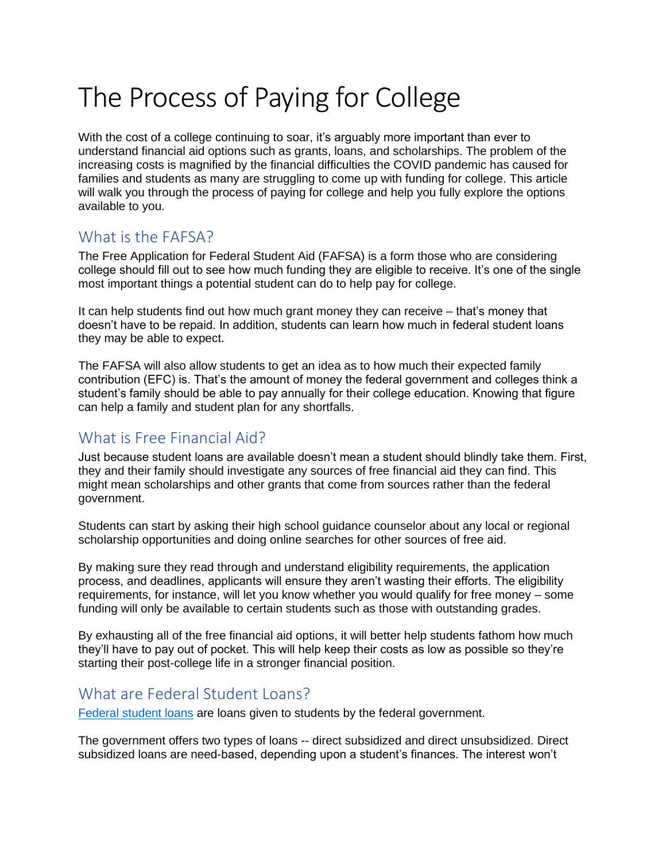# The Process of Paying for College

With the cost of a college continuing to soar, it's arguably more important than ever to understand financial aid options such as grants, loans, and scholarships. The problem of the increasing costs is magnified by the financial difficulties the COVID pandemic has caused for families and students as many are struggling to come up with funding for college. This article will walk you through the process of paying for college and help you fully explore the options available to you.

## What is the FAFSA?

The Free Application for Federal Student Aid (FAFSA) is a form those who are considering college should fill out to see how much funding they are eligible to receive. It's one of the single most important things a potential student can do to help pay for college.

It can help students find out how much grant money they can receive – that's money that doesn't have to be repaid. In addition, students can learn how much in federal student loans they may be able to expect.

The FAFSA will also allow students to get an idea as to how much their expected family contribution (EFC) is. That's the amount of money the federal government and colleges think a student's family should be able to pay annually for their college education. Knowing that figure can help a family and student plan for any shortfalls.

# What is Free Financial Aid?

Just because student loans are available doesn't mean a student should blindly take them. First, they and their family should investigate any sources of free financial aid they can find. This might mean scholarships and other grants that come from sources rather than the federal government.

Students can start by asking their high school guidance counselor about any local or regional scholarship opportunities and doing online searches for other sources of free aid.

By making sure they read through and understand eligibility requirements, the application process, and deadlines, applicants will ensure they aren't wasting their efforts. The eligibility requirements, for instance, will let you know whether you would qualify for free money – some funding will only be available to certain students such as those with outstanding grades.

By exhausting all of the free financial aid options, it will better help students fathom how much they'll have to pay out of pocket. This will help keep their costs as low as possible so they're starting their post-college life in a stronger financial position.

#### What are Federal Student Loans?

[Federal student loans](about:blank) are loans given to students by the federal government.

The government offers two types of loans -- direct subsidized and direct unsubsidized. Direct subsidized loans are need-based, depending upon a student's finances. The interest won't